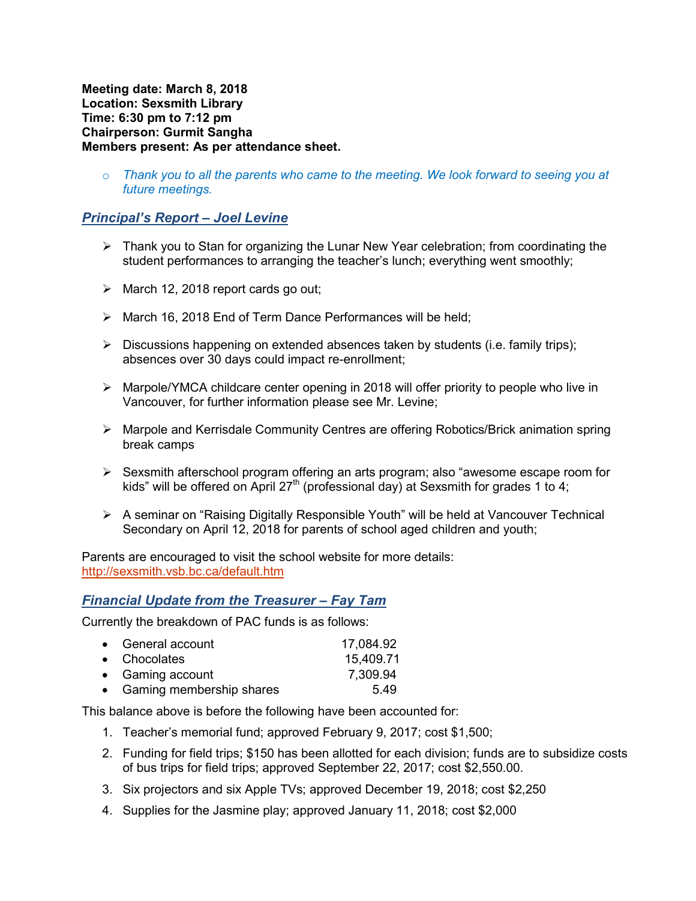Meeting date: March 8, 2018 Location: Sexsmith Library Time: 6:30 pm to 7:12 pm Chairperson: Gurmit Sangha Members present: As per attendance sheet.

 $\circ$  Thank you to all the parents who came to the meeting. We look forward to seeing you at future meetings.

## Principal's Report – Joel Levine

- $\triangleright$  Thank you to Stan for organizing the Lunar New Year celebration; from coordinating the student performances to arranging the teacher's lunch; everything went smoothly;
- $\triangleright$  March 12, 2018 report cards go out;
- > March 16, 2018 End of Term Dance Performances will be held;
- $\triangleright$  Discussions happening on extended absences taken by students (i.e. family trips); absences over 30 days could impact re-enrollment;
- $\triangleright$  Marpole/YMCA childcare center opening in 2018 will offer priority to people who live in Vancouver, for further information please see Mr. Levine;
- Marpole and Kerrisdale Community Centres are offering Robotics/Brick animation spring break camps
- Sexsmith afterschool program offering an arts program; also "awesome escape room for kids" will be offered on April 27<sup>th</sup> (professional day) at Sexsmith for grades 1 to 4;
- $\triangleright$  A seminar on "Raising Digitally Responsible Youth" will be held at Vancouver Technical Secondary on April 12, 2018 for parents of school aged children and youth;

Parents are encouraged to visit the school website for more details: http://sexsmith.vsb.bc.ca/default.htm

#### Financial Update from the Treasurer – Fay Tam

Currently the breakdown of PAC funds is as follows:

| • General account          | 17,084.92 |
|----------------------------|-----------|
| • Chocolates               | 15,409.71 |
| • Gaming account           | 7,309.94  |
| • Gaming membership shares | 5.49      |

This balance above is before the following have been accounted for:

- 1. Teacher's memorial fund; approved February 9, 2017; cost \$1,500;
- 2. Funding for field trips; \$150 has been allotted for each division; funds are to subsidize costs of bus trips for field trips; approved September 22, 2017; cost \$2,550.00.
- 3. Six projectors and six Apple TVs; approved December 19, 2018; cost \$2,250
- 4. Supplies for the Jasmine play; approved January 11, 2018; cost \$2,000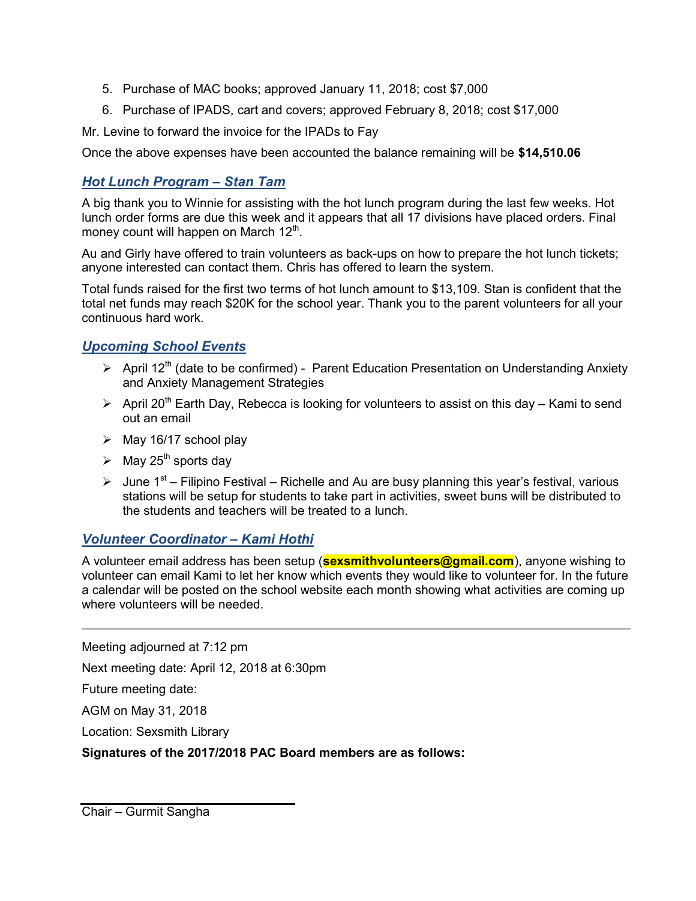- 5. Purchase of MAC books; approved January 11, 2018; cost \$7,000
- 6. Purchase of IPADS, cart and covers; approved February 8, 2018; cost \$17,000

Mr. Levine to forward the invoice for the IPADs to Fay

Once the above expenses have been accounted the balance remaining will be \$14,510.06

# Hot Lunch Program – Stan Tam

A big thank you to Winnie for assisting with the hot lunch program during the last few weeks. Hot lunch order forms are due this week and it appears that all 17 divisions have placed orders. Final money count will happen on March 12 $^{\rm th}$ .

Au and Girly have offered to train volunteers as back-ups on how to prepare the hot lunch tickets; anyone interested can contact them. Chris has offered to learn the system.

Total funds raised for the first two terms of hot lunch amount to \$13,109. Stan is confident that the total net funds may reach \$20K for the school year. Thank you to the parent volunteers for all your continuous hard work.

## Upcoming School Events

- $\triangleright$  April 12<sup>th</sup> (date to be confirmed) Parent Education Presentation on Understanding Anxiety and Anxiety Management Strategies
- $\triangleright$  April 20<sup>th</sup> Earth Day, Rebecca is looking for volunteers to assist on this day Kami to send out an email
- $\triangleright$  May 16/17 school play
- $\triangleright$  May 25<sup>th</sup> sports day
- $\triangleright$  June 1<sup>st</sup> Filipino Festival Richelle and Au are busy planning this year's festival, various stations will be setup for students to take part in activities, sweet buns will be distributed to the students and teachers will be treated to a lunch.

## Volunteer Coordinator – Kami Hothi

A volunteer email address has been setup (**sexsmithvolunteers@gmail.com**), anyone wishing to volunteer can email Kami to let her know which events they would like to volunteer for. In the future a calendar will be posted on the school website each month showing what activities are coming up where volunteers will be needed.

Meeting adjourned at 7:12 pm

Next meeting date: April 12, 2018 at 6:30pm

Future meeting date:

AGM on May 31, 2018

Location: Sexsmith Library

Signatures of the 2017/2018 PAC Board members are as follows:

Chair – Gurmit Sangha